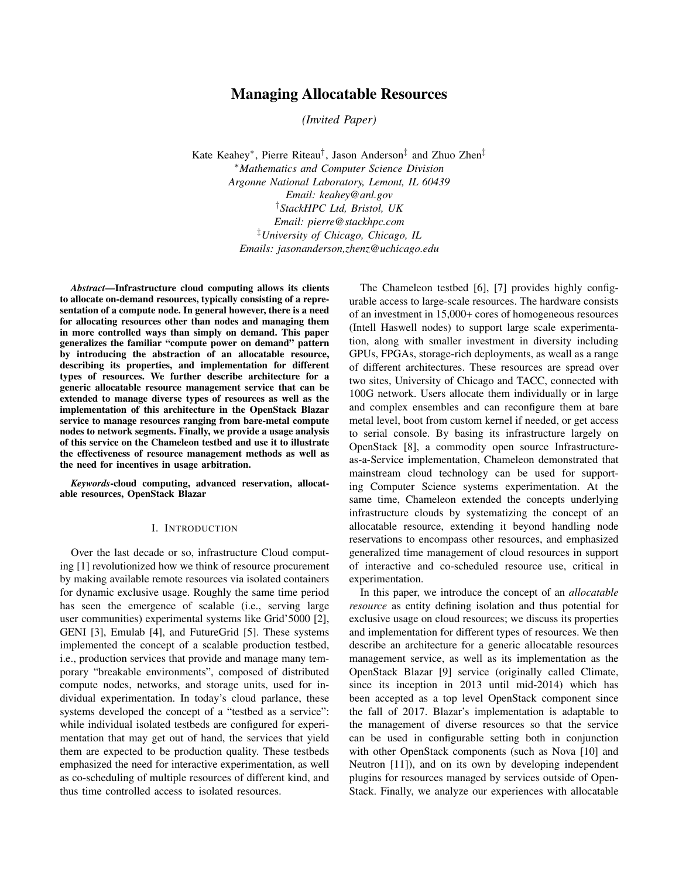# Managing Allocatable Resources

*(Invited Paper)*

Kate Keahey⇤, Pierre Riteau*†*, Jason Anderson*‡* and Zhuo Zhen*‡* ⇤*Mathematics and Computer Science Division Argonne National Laboratory, Lemont, IL 60439 Email: keahey@anl.gov †StackHPC Ltd, Bristol, UK Email: pierre@stackhpc.com ‡University of Chicago, Chicago, IL Emails: jasonanderson,zhenz@uchicago.edu*

*Abstract*—Infrastructure cloud computing allows its clients to allocate on-demand resources, typically consisting of a representation of a compute node. In general however, there is a need for allocating resources other than nodes and managing them in more controlled ways than simply on demand. This paper generalizes the familiar "compute power on demand" pattern by introducing the abstraction of an allocatable resource, describing its properties, and implementation for different types of resources. We further describe architecture for a generic allocatable resource management service that can be extended to manage diverse types of resources as well as the implementation of this architecture in the OpenStack Blazar service to manage resources ranging from bare-metal compute nodes to network segments. Finally, we provide a usage analysis of this service on the Chameleon testbed and use it to illustrate the effectiveness of resource management methods as well as the need for incentives in usage arbitration.

*Keywords*-cloud computing, advanced reservation, allocatable resources, OpenStack Blazar

### I. INTRODUCTION

Over the last decade or so, infrastructure Cloud computing [1] revolutionized how we think of resource procurement by making available remote resources via isolated containers for dynamic exclusive usage. Roughly the same time period has seen the emergence of scalable (i.e., serving large user communities) experimental systems like Grid'5000 [2], GENI [3], Emulab [4], and FutureGrid [5]. These systems implemented the concept of a scalable production testbed, i.e., production services that provide and manage many temporary "breakable environments", composed of distributed compute nodes, networks, and storage units, used for individual experimentation. In today's cloud parlance, these systems developed the concept of a "testbed as a service": while individual isolated testbeds are configured for experimentation that may get out of hand, the services that yield them are expected to be production quality. These testbeds emphasized the need for interactive experimentation, as well as co-scheduling of multiple resources of different kind, and thus time controlled access to isolated resources.

The Chameleon testbed [6], [7] provides highly configurable access to large-scale resources. The hardware consists of an investment in 15,000+ cores of homogeneous resources (Intell Haswell nodes) to support large scale experimentation, along with smaller investment in diversity including GPUs, FPGAs, storage-rich deployments, as weall as a range of different architectures. These resources are spread over two sites, University of Chicago and TACC, connected with 100G network. Users allocate them individually or in large and complex ensembles and can reconfigure them at bare metal level, boot from custom kernel if needed, or get access to serial console. By basing its infrastructure largely on OpenStack [8], a commodity open source Infrastructureas-a-Service implementation, Chameleon demonstrated that mainstream cloud technology can be used for supporting Computer Science systems experimentation. At the same time, Chameleon extended the concepts underlying infrastructure clouds by systematizing the concept of an allocatable resource, extending it beyond handling node reservations to encompass other resources, and emphasized generalized time management of cloud resources in support of interactive and co-scheduled resource use, critical in experimentation.

In this paper, we introduce the concept of an *allocatable resource* as entity defining isolation and thus potential for exclusive usage on cloud resources; we discuss its properties and implementation for different types of resources. We then describe an architecture for a generic allocatable resources management service, as well as its implementation as the OpenStack Blazar [9] service (originally called Climate, since its inception in 2013 until mid-2014) which has been accepted as a top level OpenStack component since the fall of 2017. Blazar's implementation is adaptable to the management of diverse resources so that the service can be used in configurable setting both in conjunction with other OpenStack components (such as Nova [10] and Neutron [11]), and on its own by developing independent plugins for resources managed by services outside of Open-Stack. Finally, we analyze our experiences with allocatable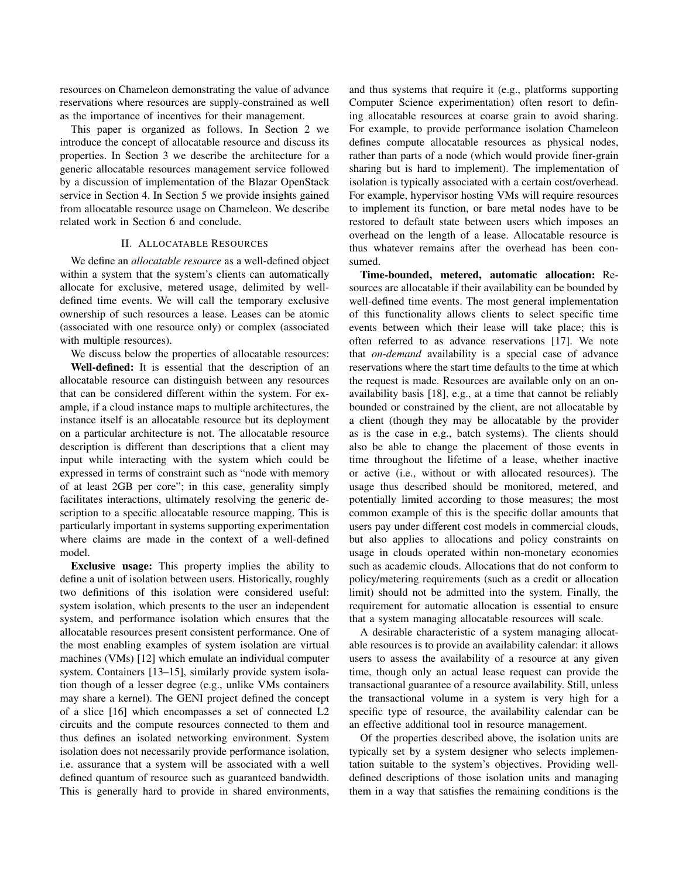resources on Chameleon demonstrating the value of advance reservations where resources are supply-constrained as well as the importance of incentives for their management.

This paper is organized as follows. In Section 2 we introduce the concept of allocatable resource and discuss its properties. In Section 3 we describe the architecture for a generic allocatable resources management service followed by a discussion of implementation of the Blazar OpenStack service in Section 4. In Section 5 we provide insights gained from allocatable resource usage on Chameleon. We describe related work in Section 6 and conclude.

### II. ALLOCATABLE RESOURCES

We define an *allocatable resource* as a well-defined object within a system that the system's clients can automatically allocate for exclusive, metered usage, delimited by welldefined time events. We will call the temporary exclusive ownership of such resources a lease. Leases can be atomic (associated with one resource only) or complex (associated with multiple resources).

We discuss below the properties of allocatable resources: Well-defined: It is essential that the description of an allocatable resource can distinguish between any resources that can be considered different within the system. For example, if a cloud instance maps to multiple architectures, the instance itself is an allocatable resource but its deployment on a particular architecture is not. The allocatable resource description is different than descriptions that a client may input while interacting with the system which could be expressed in terms of constraint such as "node with memory of at least 2GB per core"; in this case, generality simply facilitates interactions, ultimately resolving the generic description to a specific allocatable resource mapping. This is particularly important in systems supporting experimentation where claims are made in the context of a well-defined model.

Exclusive usage: This property implies the ability to define a unit of isolation between users. Historically, roughly two definitions of this isolation were considered useful: system isolation, which presents to the user an independent system, and performance isolation which ensures that the allocatable resources present consistent performance. One of the most enabling examples of system isolation are virtual machines (VMs) [12] which emulate an individual computer system. Containers [13–15], similarly provide system isolation though of a lesser degree (e.g., unlike VMs containers may share a kernel). The GENI project defined the concept of a slice [16] which encompasses a set of connected L2 circuits and the compute resources connected to them and thus defines an isolated networking environment. System isolation does not necessarily provide performance isolation, i.e. assurance that a system will be associated with a well defined quantum of resource such as guaranteed bandwidth. This is generally hard to provide in shared environments, and thus systems that require it (e.g., platforms supporting Computer Science experimentation) often resort to defining allocatable resources at coarse grain to avoid sharing. For example, to provide performance isolation Chameleon defines compute allocatable resources as physical nodes, rather than parts of a node (which would provide finer-grain sharing but is hard to implement). The implementation of isolation is typically associated with a certain cost/overhead. For example, hypervisor hosting VMs will require resources to implement its function, or bare metal nodes have to be restored to default state between users which imposes an overhead on the length of a lease. Allocatable resource is thus whatever remains after the overhead has been consumed.

Time-bounded, metered, automatic allocation: Resources are allocatable if their availability can be bounded by well-defined time events. The most general implementation of this functionality allows clients to select specific time events between which their lease will take place; this is often referred to as advance reservations [17]. We note that *on-demand* availability is a special case of advance reservations where the start time defaults to the time at which the request is made. Resources are available only on an onavailability basis [18], e.g., at a time that cannot be reliably bounded or constrained by the client, are not allocatable by a client (though they may be allocatable by the provider as is the case in e.g., batch systems). The clients should also be able to change the placement of those events in time throughout the lifetime of a lease, whether inactive or active (i.e., without or with allocated resources). The usage thus described should be monitored, metered, and potentially limited according to those measures; the most common example of this is the specific dollar amounts that users pay under different cost models in commercial clouds, but also applies to allocations and policy constraints on usage in clouds operated within non-monetary economies such as academic clouds. Allocations that do not conform to policy/metering requirements (such as a credit or allocation limit) should not be admitted into the system. Finally, the requirement for automatic allocation is essential to ensure that a system managing allocatable resources will scale.

A desirable characteristic of a system managing allocatable resources is to provide an availability calendar: it allows users to assess the availability of a resource at any given time, though only an actual lease request can provide the transactional guarantee of a resource availability. Still, unless the transactional volume in a system is very high for a specific type of resource, the availability calendar can be an effective additional tool in resource management.

Of the properties described above, the isolation units are typically set by a system designer who selects implementation suitable to the system's objectives. Providing welldefined descriptions of those isolation units and managing them in a way that satisfies the remaining conditions is the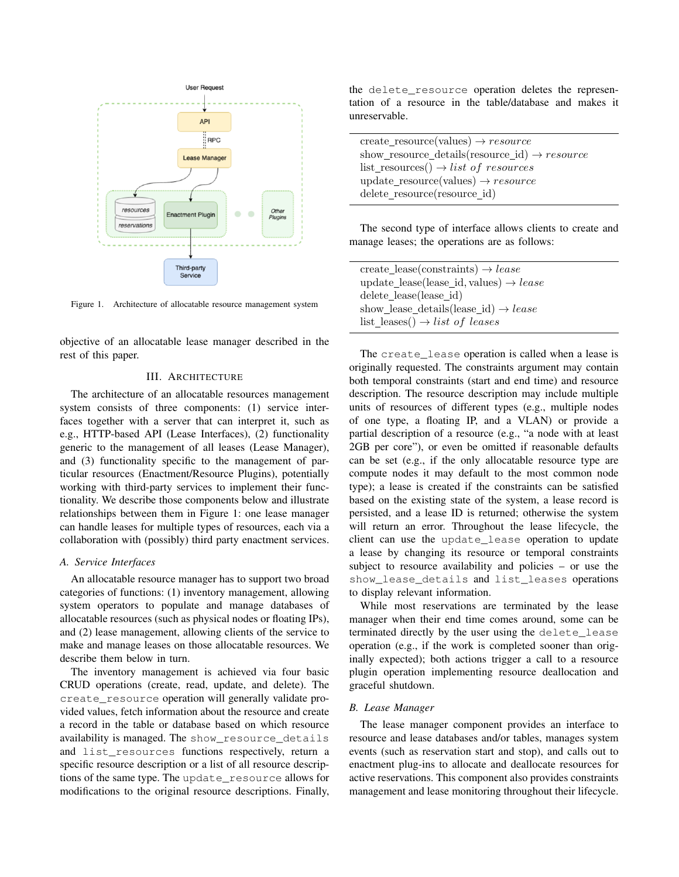

Figure 1. Architecture of allocatable resource management system

objective of an allocatable lease manager described in the rest of this paper.

### III. ARCHITECTURE

The architecture of an allocatable resources management system consists of three components: (1) service interfaces together with a server that can interpret it, such as e.g., HTTP-based API (Lease Interfaces), (2) functionality generic to the management of all leases (Lease Manager), and (3) functionality specific to the management of particular resources (Enactment/Resource Plugins), potentially working with third-party services to implement their functionality. We describe those components below and illustrate relationships between them in Figure 1: one lease manager can handle leases for multiple types of resources, each via a collaboration with (possibly) third party enactment services.

### *A. Service Interfaces*

An allocatable resource manager has to support two broad categories of functions: (1) inventory management, allowing system operators to populate and manage databases of allocatable resources (such as physical nodes or floating IPs), and (2) lease management, allowing clients of the service to make and manage leases on those allocatable resources. We describe them below in turn.

The inventory management is achieved via four basic CRUD operations (create, read, update, and delete). The create\_resource operation will generally validate provided values, fetch information about the resource and create a record in the table or database based on which resource availability is managed. The show\_resource\_details and list resources functions respectively, return a specific resource description or a list of all resource descriptions of the same type. The update\_resource allows for modifications to the original resource descriptions. Finally,

the delete\_resource operation deletes the representation of a resource in the table/database and makes it unreservable.

| create_resource(values) $\rightarrow$ resource            |
|-----------------------------------------------------------|
| show_resource_details(resource_id) $\rightarrow$ resource |
| list_resources() $\rightarrow$ list of resources          |
| $update\_resource(values) \rightarrow resource$           |
| delete_resource(resource_id)                              |

The second type of interface allows clients to create and manage leases; the operations are as follows:

| create_lease(constraints) $\rightarrow$ lease      |  |
|----------------------------------------------------|--|
| update_lease(lease_id, values) $\rightarrow$ lease |  |
| delete_lease(lease_id)                             |  |
| show_lease_details(lease_id) $\rightarrow$ lease   |  |
| list_leases() $\rightarrow$ list of leases         |  |

The create\_lease operation is called when a lease is originally requested. The constraints argument may contain both temporal constraints (start and end time) and resource description. The resource description may include multiple units of resources of different types (e.g., multiple nodes of one type, a floating IP, and a VLAN) or provide a partial description of a resource (e.g., "a node with at least 2GB per core"), or even be omitted if reasonable defaults can be set (e.g., if the only allocatable resource type are compute nodes it may default to the most common node type); a lease is created if the constraints can be satisfied based on the existing state of the system, a lease record is persisted, and a lease ID is returned; otherwise the system will return an error. Throughout the lease lifecycle, the client can use the update\_lease operation to update a lease by changing its resource or temporal constraints subject to resource availability and policies – or use the show\_lease\_details and list\_leases operations to display relevant information.

While most reservations are terminated by the lease manager when their end time comes around, some can be terminated directly by the user using the delete\_lease operation (e.g., if the work is completed sooner than originally expected); both actions trigger a call to a resource plugin operation implementing resource deallocation and graceful shutdown.

# *B. Lease Manager*

The lease manager component provides an interface to resource and lease databases and/or tables, manages system events (such as reservation start and stop), and calls out to enactment plug-ins to allocate and deallocate resources for active reservations. This component also provides constraints management and lease monitoring throughout their lifecycle.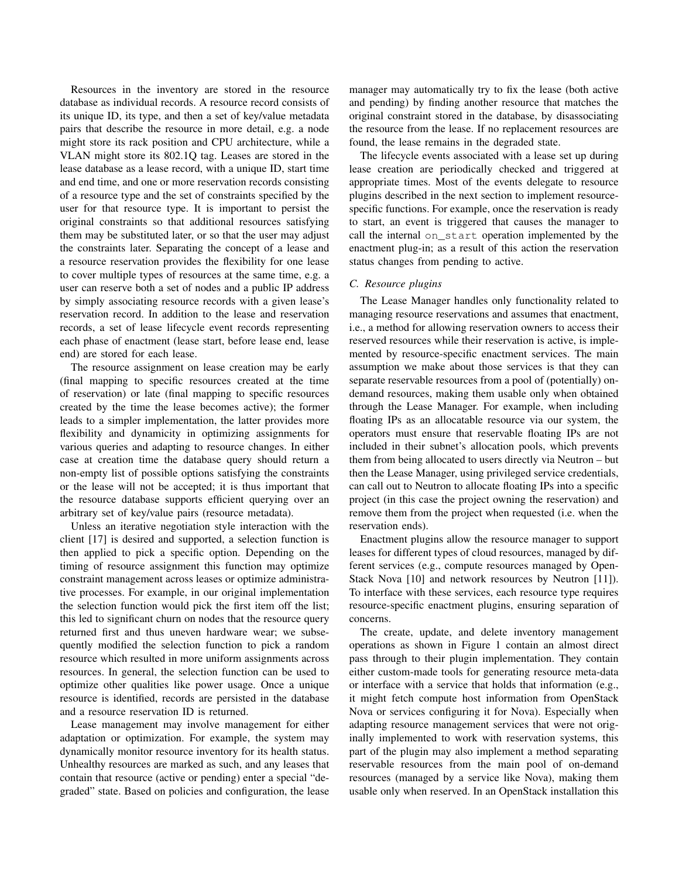Resources in the inventory are stored in the resource database as individual records. A resource record consists of its unique ID, its type, and then a set of key/value metadata pairs that describe the resource in more detail, e.g. a node might store its rack position and CPU architecture, while a VLAN might store its 802.1Q tag. Leases are stored in the lease database as a lease record, with a unique ID, start time and end time, and one or more reservation records consisting of a resource type and the set of constraints specified by the user for that resource type. It is important to persist the original constraints so that additional resources satisfying them may be substituted later, or so that the user may adjust the constraints later. Separating the concept of a lease and a resource reservation provides the flexibility for one lease to cover multiple types of resources at the same time, e.g. a user can reserve both a set of nodes and a public IP address by simply associating resource records with a given lease's reservation record. In addition to the lease and reservation records, a set of lease lifecycle event records representing each phase of enactment (lease start, before lease end, lease end) are stored for each lease.

The resource assignment on lease creation may be early (final mapping to specific resources created at the time of reservation) or late (final mapping to specific resources created by the time the lease becomes active); the former leads to a simpler implementation, the latter provides more flexibility and dynamicity in optimizing assignments for various queries and adapting to resource changes. In either case at creation time the database query should return a non-empty list of possible options satisfying the constraints or the lease will not be accepted; it is thus important that the resource database supports efficient querying over an arbitrary set of key/value pairs (resource metadata).

Unless an iterative negotiation style interaction with the client [17] is desired and supported, a selection function is then applied to pick a specific option. Depending on the timing of resource assignment this function may optimize constraint management across leases or optimize administrative processes. For example, in our original implementation the selection function would pick the first item off the list; this led to significant churn on nodes that the resource query returned first and thus uneven hardware wear; we subsequently modified the selection function to pick a random resource which resulted in more uniform assignments across resources. In general, the selection function can be used to optimize other qualities like power usage. Once a unique resource is identified, records are persisted in the database and a resource reservation ID is returned.

Lease management may involve management for either adaptation or optimization. For example, the system may dynamically monitor resource inventory for its health status. Unhealthy resources are marked as such, and any leases that contain that resource (active or pending) enter a special "degraded" state. Based on policies and configuration, the lease manager may automatically try to fix the lease (both active and pending) by finding another resource that matches the original constraint stored in the database, by disassociating the resource from the lease. If no replacement resources are found, the lease remains in the degraded state.

The lifecycle events associated with a lease set up during lease creation are periodically checked and triggered at appropriate times. Most of the events delegate to resource plugins described in the next section to implement resourcespecific functions. For example, once the reservation is ready to start, an event is triggered that causes the manager to call the internal on\_start operation implemented by the enactment plug-in; as a result of this action the reservation status changes from pending to active.

### *C. Resource plugins*

The Lease Manager handles only functionality related to managing resource reservations and assumes that enactment, i.e., a method for allowing reservation owners to access their reserved resources while their reservation is active, is implemented by resource-specific enactment services. The main assumption we make about those services is that they can separate reservable resources from a pool of (potentially) ondemand resources, making them usable only when obtained through the Lease Manager. For example, when including floating IPs as an allocatable resource via our system, the operators must ensure that reservable floating IPs are not included in their subnet's allocation pools, which prevents them from being allocated to users directly via Neutron – but then the Lease Manager, using privileged service credentials, can call out to Neutron to allocate floating IPs into a specific project (in this case the project owning the reservation) and remove them from the project when requested (i.e. when the reservation ends).

Enactment plugins allow the resource manager to support leases for different types of cloud resources, managed by different services (e.g., compute resources managed by Open-Stack Nova [10] and network resources by Neutron [11]). To interface with these services, each resource type requires resource-specific enactment plugins, ensuring separation of concerns.

The create, update, and delete inventory management operations as shown in Figure 1 contain an almost direct pass through to their plugin implementation. They contain either custom-made tools for generating resource meta-data or interface with a service that holds that information (e.g., it might fetch compute host information from OpenStack Nova or services configuring it for Nova). Especially when adapting resource management services that were not originally implemented to work with reservation systems, this part of the plugin may also implement a method separating reservable resources from the main pool of on-demand resources (managed by a service like Nova), making them usable only when reserved. In an OpenStack installation this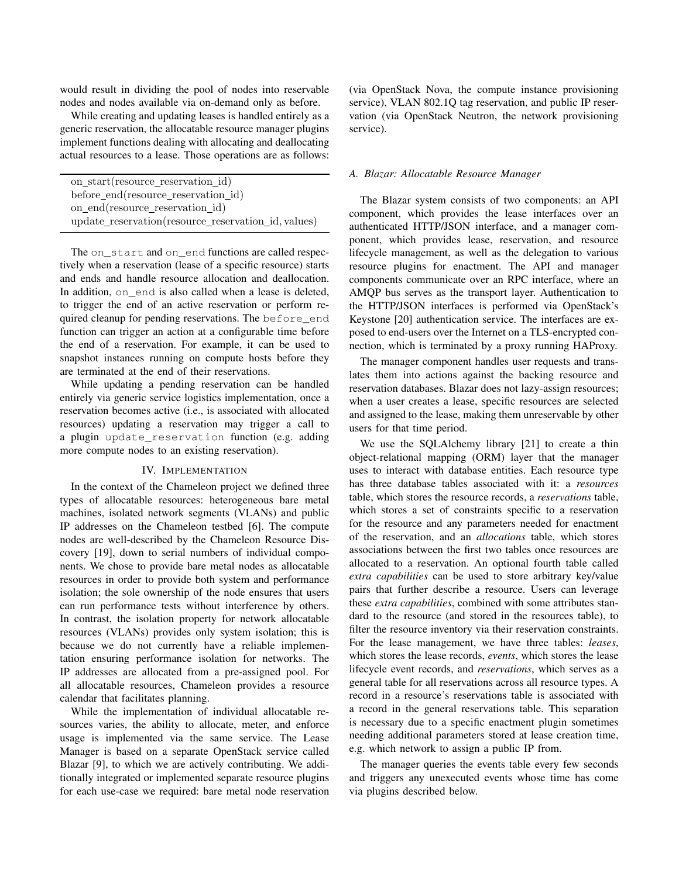would result in dividing the pool of nodes into reservable nodes and nodes available via on-demand only as before.

While creating and updating leases is handled entirely as a generic reservation, the allocatable resource manager plugins implement functions dealing with allocating and deallocating actual resources to a lease. Those operations are as follows:

| on_start(resource_reservation_id)                   |
|-----------------------------------------------------|
| before_end(resource_reservation_id)                 |
| on_end(resource_reservation_id)                     |
| update_reservation(resource_reservation_id, values) |

The on\_start and on\_end functions are called respectively when a reservation (lease of a specific resource) starts and ends and handle resource allocation and deallocation. In addition, on\_end is also called when a lease is deleted, to trigger the end of an active reservation or perform required cleanup for pending reservations. The before\_end function can trigger an action at a configurable time before the end of a reservation. For example, it can be used to snapshot instances running on compute hosts before they are terminated at the end of their reservations.

While updating a pending reservation can be handled entirely via generic service logistics implementation, once a reservation becomes active (i.e., is associated with allocated resources) updating a reservation may trigger a call to a plugin update\_reservation function (e.g. adding more compute nodes to an existing reservation).

### IV. IMPLEMENTATION

In the context of the Chameleon project we defined three types of allocatable resources: heterogeneous bare metal machines, isolated network segments (VLANs) and public IP addresses on the Chameleon testbed [6]. The compute nodes are well-described by the Chameleon Resource Discovery [19], down to serial numbers of individual components. We chose to provide bare metal nodes as allocatable resources in order to provide both system and performance isolation; the sole ownership of the node ensures that users can run performance tests without interference by others. In contrast, the isolation property for network allocatable resources (VLANs) provides only system isolation; this is because we do not currently have a reliable implementation ensuring performance isolation for networks. The IP addresses are allocated from a pre-assigned pool. For all allocatable resources, Chameleon provides a resource calendar that facilitates planning.

While the implementation of individual allocatable resources varies, the ability to allocate, meter, and enforce usage is implemented via the same service. The Lease Manager is based on a separate OpenStack service called Blazar [9], to which we are actively contributing. We additionally integrated or implemented separate resource plugins for each use-case we required: bare metal node reservation (via OpenStack Nova, the compute instance provisioning service), VLAN 802.1Q tag reservation, and public IP reservation (via OpenStack Neutron, the network provisioning service).

#### *A. Blazar: Allocatable Resource Manager*

The Blazar system consists of two components: an API component, which provides the lease interfaces over an authenticated HTTP/JSON interface, and a manager component, which provides lease, reservation, and resource lifecycle management, as well as the delegation to various resource plugins for enactment. The API and manager components communicate over an RPC interface, where an AMQP bus serves as the transport layer. Authentication to the HTTP/JSON interfaces is performed via OpenStack's Keystone [20] authentication service. The interfaces are exposed to end-users over the Internet on a TLS-encrypted connection, which is terminated by a proxy running HAProxy.

The manager component handles user requests and translates them into actions against the backing resource and reservation databases. Blazar does not lazy-assign resources; when a user creates a lease, specific resources are selected and assigned to the lease, making them unreservable by other users for that time period.

We use the SQLAlchemy library [21] to create a thin object-relational mapping (ORM) layer that the manager uses to interact with database entities. Each resource type has three database tables associated with it: a *resources* table, which stores the resource records, a *reservations* table, which stores a set of constraints specific to a reservation for the resource and any parameters needed for enactment of the reservation, and an *allocations* table, which stores associations between the first two tables once resources are allocated to a reservation. An optional fourth table called *extra capabilities* can be used to store arbitrary key/value pairs that further describe a resource. Users can leverage these *extra capabilities*, combined with some attributes standard to the resource (and stored in the resources table), to filter the resource inventory via their reservation constraints. For the lease management, we have three tables: *leases*, which stores the lease records, *events*, which stores the lease lifecycle event records, and *reservations*, which serves as a general table for all reservations across all resource types. A record in a resource's reservations table is associated with a record in the general reservations table. This separation is necessary due to a specific enactment plugin sometimes needing additional parameters stored at lease creation time, e.g. which network to assign a public IP from.

The manager queries the events table every few seconds and triggers any unexecuted events whose time has come via plugins described below.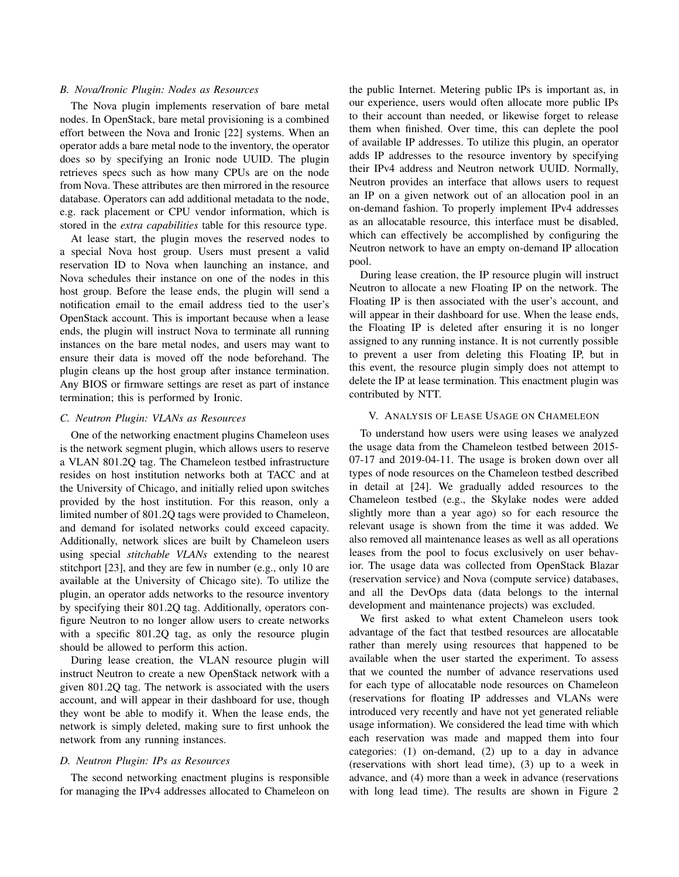### *B. Nova/Ironic Plugin: Nodes as Resources*

The Nova plugin implements reservation of bare metal nodes. In OpenStack, bare metal provisioning is a combined effort between the Nova and Ironic [22] systems. When an operator adds a bare metal node to the inventory, the operator does so by specifying an Ironic node UUID. The plugin retrieves specs such as how many CPUs are on the node from Nova. These attributes are then mirrored in the resource database. Operators can add additional metadata to the node, e.g. rack placement or CPU vendor information, which is stored in the *extra capabilities* table for this resource type.

At lease start, the plugin moves the reserved nodes to a special Nova host group. Users must present a valid reservation ID to Nova when launching an instance, and Nova schedules their instance on one of the nodes in this host group. Before the lease ends, the plugin will send a notification email to the email address tied to the user's OpenStack account. This is important because when a lease ends, the plugin will instruct Nova to terminate all running instances on the bare metal nodes, and users may want to ensure their data is moved off the node beforehand. The plugin cleans up the host group after instance termination. Any BIOS or firmware settings are reset as part of instance termination; this is performed by Ironic.

### *C. Neutron Plugin: VLANs as Resources*

One of the networking enactment plugins Chameleon uses is the network segment plugin, which allows users to reserve a VLAN 801.2Q tag. The Chameleon testbed infrastructure resides on host institution networks both at TACC and at the University of Chicago, and initially relied upon switches provided by the host institution. For this reason, only a limited number of 801.2Q tags were provided to Chameleon, and demand for isolated networks could exceed capacity. Additionally, network slices are built by Chameleon users using special *stitchable VLANs* extending to the nearest stitchport [23], and they are few in number (e.g., only 10 are available at the University of Chicago site). To utilize the plugin, an operator adds networks to the resource inventory by specifying their 801.2Q tag. Additionally, operators configure Neutron to no longer allow users to create networks with a specific 801.2Q tag, as only the resource plugin should be allowed to perform this action.

During lease creation, the VLAN resource plugin will instruct Neutron to create a new OpenStack network with a given 801.2Q tag. The network is associated with the users account, and will appear in their dashboard for use, though they wont be able to modify it. When the lease ends, the network is simply deleted, making sure to first unhook the network from any running instances.

### *D. Neutron Plugin: IPs as Resources*

The second networking enactment plugins is responsible for managing the IPv4 addresses allocated to Chameleon on

the public Internet. Metering public IPs is important as, in our experience, users would often allocate more public IPs to their account than needed, or likewise forget to release them when finished. Over time, this can deplete the pool of available IP addresses. To utilize this plugin, an operator adds IP addresses to the resource inventory by specifying their IPv4 address and Neutron network UUID. Normally, Neutron provides an interface that allows users to request an IP on a given network out of an allocation pool in an on-demand fashion. To properly implement IPv4 addresses as an allocatable resource, this interface must be disabled, which can effectively be accomplished by configuring the Neutron network to have an empty on-demand IP allocation pool.

During lease creation, the IP resource plugin will instruct Neutron to allocate a new Floating IP on the network. The Floating IP is then associated with the user's account, and will appear in their dashboard for use. When the lease ends, the Floating IP is deleted after ensuring it is no longer assigned to any running instance. It is not currently possible to prevent a user from deleting this Floating IP, but in this event, the resource plugin simply does not attempt to delete the IP at lease termination. This enactment plugin was contributed by NTT.

### V. ANALYSIS OF LEASE USAGE ON CHAMELEON

To understand how users were using leases we analyzed the usage data from the Chameleon testbed between 2015- 07-17 and 2019-04-11. The usage is broken down over all types of node resources on the Chameleon testbed described in detail at [24]. We gradually added resources to the Chameleon testbed (e.g., the Skylake nodes were added slightly more than a year ago) so for each resource the relevant usage is shown from the time it was added. We also removed all maintenance leases as well as all operations leases from the pool to focus exclusively on user behavior. The usage data was collected from OpenStack Blazar (reservation service) and Nova (compute service) databases, and all the DevOps data (data belongs to the internal development and maintenance projects) was excluded.

We first asked to what extent Chameleon users took advantage of the fact that testbed resources are allocatable rather than merely using resources that happened to be available when the user started the experiment. To assess that we counted the number of advance reservations used for each type of allocatable node resources on Chameleon (reservations for floating IP addresses and VLANs were introduced very recently and have not yet generated reliable usage information). We considered the lead time with which each reservation was made and mapped them into four categories: (1) on-demand, (2) up to a day in advance (reservations with short lead time), (3) up to a week in advance, and (4) more than a week in advance (reservations with long lead time). The results are shown in Figure 2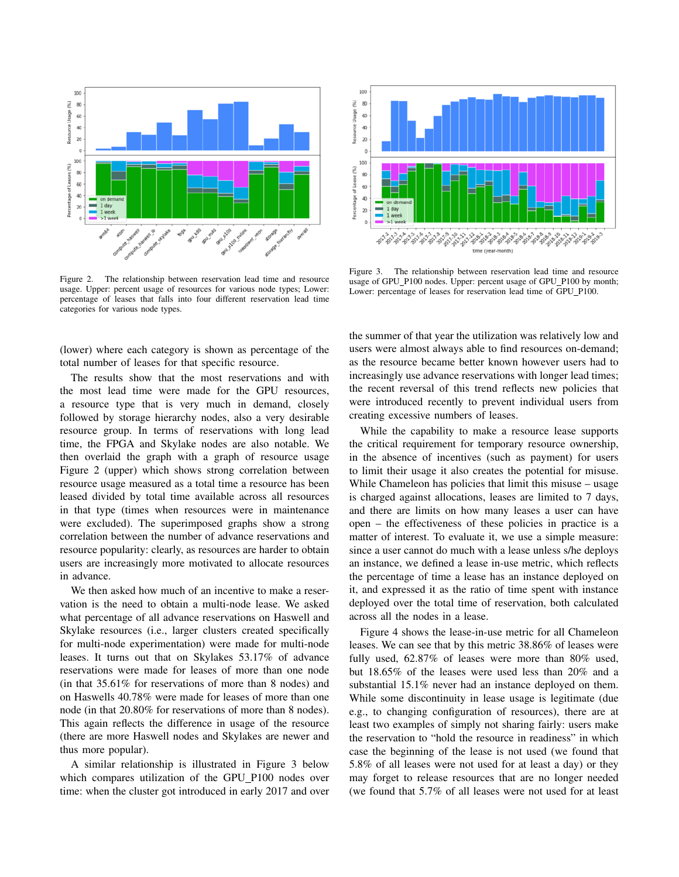

Figure 2. The relationship between reservation lead time and resource usage. Upper: percent usage of resources for various node types; Lower: percentage of leases that falls into four different reservation lead time categories for various node types.

(lower) where each category is shown as percentage of the total number of leases for that specific resource.

The results show that the most reservations and with the most lead time were made for the GPU resources, a resource type that is very much in demand, closely followed by storage hierarchy nodes, also a very desirable resource group. In terms of reservations with long lead time, the FPGA and Skylake nodes are also notable. We then overlaid the graph with a graph of resource usage Figure 2 (upper) which shows strong correlation between resource usage measured as a total time a resource has been leased divided by total time available across all resources in that type (times when resources were in maintenance were excluded). The superimposed graphs show a strong correlation between the number of advance reservations and resource popularity: clearly, as resources are harder to obtain users are increasingly more motivated to allocate resources in advance.

We then asked how much of an incentive to make a reservation is the need to obtain a multi-node lease. We asked what percentage of all advance reservations on Haswell and Skylake resources (i.e., larger clusters created specifically for multi-node experimentation) were made for multi-node leases. It turns out that on Skylakes 53.17% of advance reservations were made for leases of more than one node (in that 35.61% for reservations of more than 8 nodes) and on Haswells 40.78% were made for leases of more than one node (in that 20.80% for reservations of more than 8 nodes). This again reflects the difference in usage of the resource (there are more Haswell nodes and Skylakes are newer and thus more popular).

A similar relationship is illustrated in Figure 3 below which compares utilization of the GPU P100 nodes over time: when the cluster got introduced in early 2017 and over



Figure 3. The relationship between reservation lead time and resource usage of GPU\_P100 nodes. Upper: percent usage of GPU\_P100 by month; Lower: percentage of leases for reservation lead time of GPU\_P100.

the summer of that year the utilization was relatively low and users were almost always able to find resources on-demand; as the resource became better known however users had to increasingly use advance reservations with longer lead times; the recent reversal of this trend reflects new policies that were introduced recently to prevent individual users from creating excessive numbers of leases.

While the capability to make a resource lease supports the critical requirement for temporary resource ownership, in the absence of incentives (such as payment) for users to limit their usage it also creates the potential for misuse. While Chameleon has policies that limit this misuse – usage is charged against allocations, leases are limited to 7 days, and there are limits on how many leases a user can have open – the effectiveness of these policies in practice is a matter of interest. To evaluate it, we use a simple measure: since a user cannot do much with a lease unless s/he deploys an instance, we defined a lease in-use metric, which reflects the percentage of time a lease has an instance deployed on it, and expressed it as the ratio of time spent with instance deployed over the total time of reservation, both calculated across all the nodes in a lease.

Figure 4 shows the lease-in-use metric for all Chameleon leases. We can see that by this metric 38.86% of leases were fully used, 62.87% of leases were more than 80% used, but 18.65% of the leases were used less than 20% and a substantial 15.1% never had an instance deployed on them. While some discontinuity in lease usage is legitimate (due e.g., to changing configuration of resources), there are at least two examples of simply not sharing fairly: users make the reservation to "hold the resource in readiness" in which case the beginning of the lease is not used (we found that 5.8% of all leases were not used for at least a day) or they may forget to release resources that are no longer needed (we found that 5.7% of all leases were not used for at least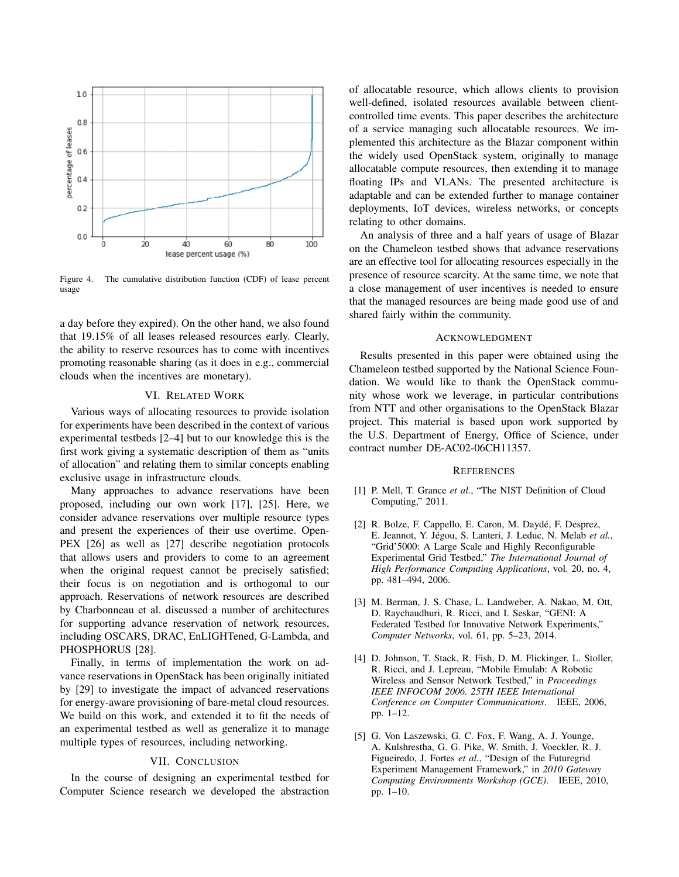

Figure 4. The cumulative distribution function (CDF) of lease percent usage

a day before they expired). On the other hand, we also found that 19.15% of all leases released resources early. Clearly, the ability to reserve resources has to come with incentives promoting reasonable sharing (as it does in e.g., commercial clouds when the incentives are monetary).

## VI. RELATED WORK

Various ways of allocating resources to provide isolation for experiments have been described in the context of various experimental testbeds [2–4] but to our knowledge this is the first work giving a systematic description of them as "units of allocation" and relating them to similar concepts enabling exclusive usage in infrastructure clouds.

Many approaches to advance reservations have been proposed, including our own work [17], [25]. Here, we consider advance reservations over multiple resource types and present the experiences of their use overtime. Open-PEX [26] as well as [27] describe negotiation protocols that allows users and providers to come to an agreement when the original request cannot be precisely satisfied; their focus is on negotiation and is orthogonal to our approach. Reservations of network resources are described by Charbonneau et al. discussed a number of architectures for supporting advance reservation of network resources, including OSCARS, DRAC, EnLIGHTened, G-Lambda, and PHOSPHORUS [28].

Finally, in terms of implementation the work on advance reservations in OpenStack has been originally initiated by [29] to investigate the impact of advanced reservations for energy-aware provisioning of bare-metal cloud resources. We build on this work, and extended it to fit the needs of an experimental testbed as well as generalize it to manage multiple types of resources, including networking.

# VII. CONCLUSION

In the course of designing an experimental testbed for Computer Science research we developed the abstraction of allocatable resource, which allows clients to provision well-defined, isolated resources available between clientcontrolled time events. This paper describes the architecture of a service managing such allocatable resources. We implemented this architecture as the Blazar component within the widely used OpenStack system, originally to manage allocatable compute resources, then extending it to manage floating IPs and VLANs. The presented architecture is adaptable and can be extended further to manage container deployments, IoT devices, wireless networks, or concepts relating to other domains.

An analysis of three and a half years of usage of Blazar on the Chameleon testbed shows that advance reservations are an effective tool for allocating resources especially in the presence of resource scarcity. At the same time, we note that a close management of user incentives is needed to ensure that the managed resources are being made good use of and shared fairly within the community.

#### ACKNOWLEDGMENT

Results presented in this paper were obtained using the Chameleon testbed supported by the National Science Foundation. We would like to thank the OpenStack community whose work we leverage, in particular contributions from NTT and other organisations to the OpenStack Blazar project. This material is based upon work supported by the U.S. Department of Energy, Office of Science, under contract number DE-AC02-06CH11357.

#### **REFERENCES**

- [1] P. Mell, T. Grance *et al.*, "The NIST Definition of Cloud Computing," 2011.
- [2] R. Bolze, F. Cappello, E. Caron, M. Daydé, F. Desprez, E. Jeannot, Y. Jégou, S. Lanteri, J. Leduc, N. Melab et al., "Grid'5000: A Large Scale and Highly Reconfigurable Experimental Grid Testbed," *The International Journal of High Performance Computing Applications*, vol. 20, no. 4, pp. 481–494, 2006.
- [3] M. Berman, J. S. Chase, L. Landweber, A. Nakao, M. Ott, D. Raychaudhuri, R. Ricci, and I. Seskar, "GENI: A Federated Testbed for Innovative Network Experiments," *Computer Networks*, vol. 61, pp. 5–23, 2014.
- [4] D. Johnson, T. Stack, R. Fish, D. M. Flickinger, L. Stoller, R. Ricci, and J. Lepreau, "Mobile Emulab: A Robotic Wireless and Sensor Network Testbed," in *Proceedings IEEE INFOCOM 2006. 25TH IEEE International Conference on Computer Communications*. IEEE, 2006, pp. 1–12.
- [5] G. Von Laszewski, G. C. Fox, F. Wang, A. J. Younge, A. Kulshrestha, G. G. Pike, W. Smith, J. Voeckler, R. J. Figueiredo, J. Fortes *et al.*, "Design of the Futuregrid Experiment Management Framework," in *2010 Gateway Computing Environments Workshop (GCE)*. IEEE, 2010, pp. 1–10.